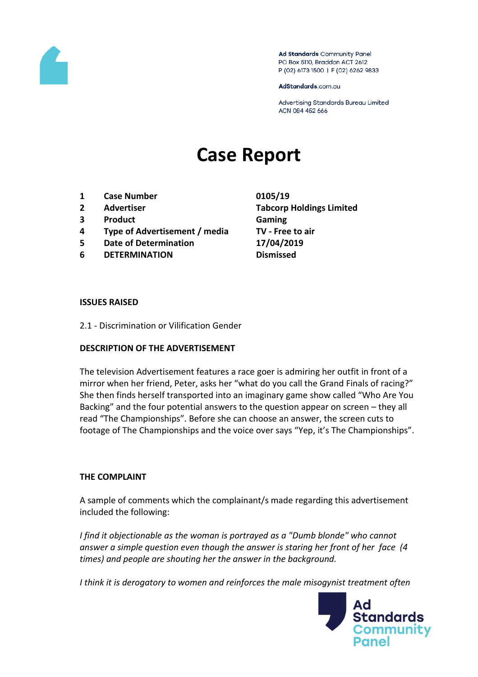

Ad Standards Community Panel PO Box 5110, Braddon ACT 2612 P (02) 6173 1500 | F (02) 6262 9833

AdStandards.com.au

Advertising Standards Bureau Limited ACN 084 452 666

# **Case Report**

- **1 Case Number 0105/19**
- 
- **3 Product Gaming**
- **4 Type of Advertisement / media TV - Free to air**
- **5 Date of Determination 17/04/2019**
- **6 DETERMINATION Dismissed**

**2 Advertiser Tabcorp Holdings Limited**

#### **ISSUES RAISED**

2.1 - Discrimination or Vilification Gender

#### **DESCRIPTION OF THE ADVERTISEMENT**

The television Advertisement features a race goer is admiring her outfit in front of a mirror when her friend, Peter, asks her "what do you call the Grand Finals of racing?" She then finds herself transported into an imaginary game show called "Who Are You Backing" and the four potential answers to the question appear on screen – they all read "The Championships". Before she can choose an answer, the screen cuts to footage of The Championships and the voice over says "Yep, it's The Championships".

#### **THE COMPLAINT**

A sample of comments which the complainant/s made regarding this advertisement included the following:

*I find it objectionable as the woman is portrayed as a "Dumb blonde" who cannot answer a simple question even though the answer is staring her front of her face (4 times) and people are shouting her the answer in the background.*

*I think it is derogatory to women and reinforces the male misogynist treatment often* 

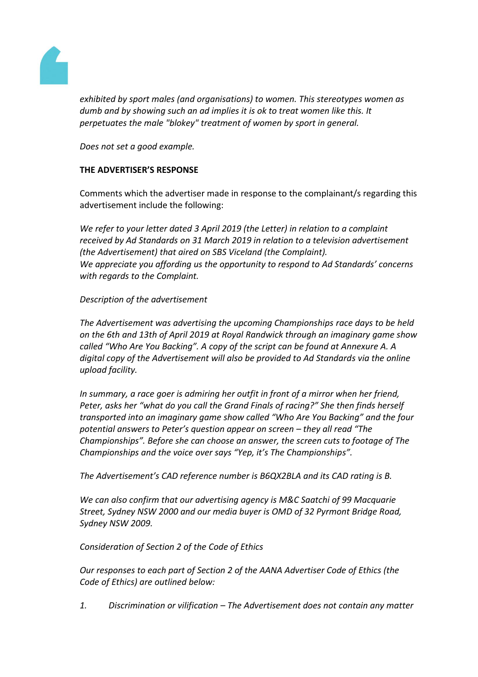

*exhibited by sport males (and organisations) to women. This stereotypes women as dumb and by showing such an ad implies it is ok to treat women like this. It perpetuates the male "blokey" treatment of women by sport in general.*

*Does not set a good example.*

## **THE ADVERTISER'S RESPONSE**

Comments which the advertiser made in response to the complainant/s regarding this advertisement include the following:

*We refer to your letter dated 3 April 2019 (the Letter) in relation to a complaint received by Ad Standards on 31 March 2019 in relation to a television advertisement (the Advertisement) that aired on SBS Viceland (the Complaint). We appreciate you affording us the opportunity to respond to Ad Standards' concerns with regards to the Complaint.*

#### *Description of the advertisement*

*The Advertisement was advertising the upcoming Championships race days to be held on the 6th and 13th of April 2019 at Royal Randwick through an imaginary game show called "Who Are You Backing". A copy of the script can be found at Annexure A. A digital copy of the Advertisement will also be provided to Ad Standards via the online upload facility.*

*In summary, a race goer is admiring her outfit in front of a mirror when her friend, Peter, asks her "what do you call the Grand Finals of racing?" She then finds herself transported into an imaginary game show called "Who Are You Backing" and the four potential answers to Peter's question appear on screen – they all read "The Championships". Before she can choose an answer, the screen cuts to footage of The Championships and the voice over says "Yep, it's The Championships".*

*The Advertisement's CAD reference number is B6QX2BLA and its CAD rating is B.*

*We can also confirm that our advertising agency is M&C Saatchi of 99 Macquarie Street, Sydney NSW 2000 and our media buyer is OMD of 32 Pyrmont Bridge Road, Sydney NSW 2009.*

## *Consideration of Section 2 of the Code of Ethics*

*Our responses to each part of Section 2 of the AANA Advertiser Code of Ethics (the Code of Ethics) are outlined below:*

*1. Discrimination or vilification – The Advertisement does not contain any matter*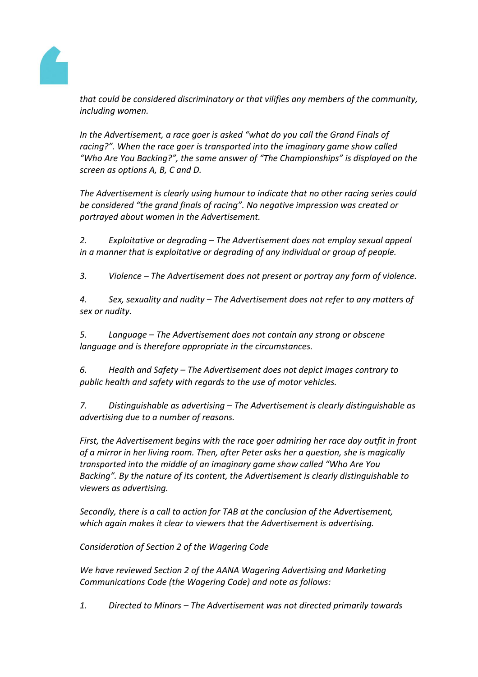

*that could be considered discriminatory or that vilifies any members of the community, including women.*

*In the Advertisement, a race goer is asked "what do you call the Grand Finals of racing?". When the race goer is transported into the imaginary game show called "Who Are You Backing?", the same answer of "The Championships" is displayed on the screen as options A, B, C and D.*

*The Advertisement is clearly using humour to indicate that no other racing series could be considered "the grand finals of racing". No negative impression was created or portrayed about women in the Advertisement.*

*2. Exploitative or degrading – The Advertisement does not employ sexual appeal in a manner that is exploitative or degrading of any individual or group of people.*

*3. Violence – The Advertisement does not present or portray any form of violence.*

*4. Sex, sexuality and nudity – The Advertisement does not refer to any matters of sex or nudity.*

*5. Language – The Advertisement does not contain any strong or obscene language and is therefore appropriate in the circumstances.*

*6. Health and Safety – The Advertisement does not depict images contrary to public health and safety with regards to the use of motor vehicles.*

*7. Distinguishable as advertising – The Advertisement is clearly distinguishable as advertising due to a number of reasons.*

*First, the Advertisement begins with the race goer admiring her race day outfit in front of a mirror in her living room. Then, after Peter asks her a question, she is magically transported into the middle of an imaginary game show called "Who Are You Backing". By the nature of its content, the Advertisement is clearly distinguishable to viewers as advertising.*

*Secondly, there is a call to action for TAB at the conclusion of the Advertisement, which again makes it clear to viewers that the Advertisement is advertising.*

*Consideration of Section 2 of the Wagering Code*

*We have reviewed Section 2 of the AANA Wagering Advertising and Marketing Communications Code (the Wagering Code) and note as follows:*

*1. Directed to Minors – The Advertisement was not directed primarily towards*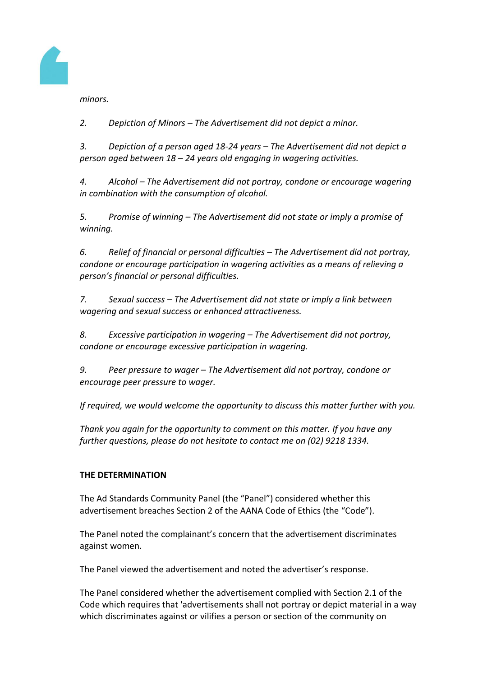

*minors.*

*2. Depiction of Minors – The Advertisement did not depict a minor.*

*3. Depiction of a person aged 18-24 years – The Advertisement did not depict a person aged between 18 – 24 years old engaging in wagering activities.*

*4. Alcohol – The Advertisement did not portray, condone or encourage wagering in combination with the consumption of alcohol.*

*5. Promise of winning – The Advertisement did not state or imply a promise of winning.*

*6. Relief of financial or personal difficulties – The Advertisement did not portray, condone or encourage participation in wagering activities as a means of relieving a person's financial or personal difficulties.*

*7. Sexual success – The Advertisement did not state or imply a link between wagering and sexual success or enhanced attractiveness.*

*8. Excessive participation in wagering – The Advertisement did not portray, condone or encourage excessive participation in wagering.*

*9. Peer pressure to wager – The Advertisement did not portray, condone or encourage peer pressure to wager.*

*If required, we would welcome the opportunity to discuss this matter further with you.*

*Thank you again for the opportunity to comment on this matter. If you have any further questions, please do not hesitate to contact me on (02) 9218 1334.*

## **THE DETERMINATION**

The Ad Standards Community Panel (the "Panel") considered whether this advertisement breaches Section 2 of the AANA Code of Ethics (the "Code").

The Panel noted the complainant's concern that the advertisement discriminates against women.

The Panel viewed the advertisement and noted the advertiser's response.

The Panel considered whether the advertisement complied with Section 2.1 of the Code which requires that 'advertisements shall not portray or depict material in a way which discriminates against or vilifies a person or section of the community on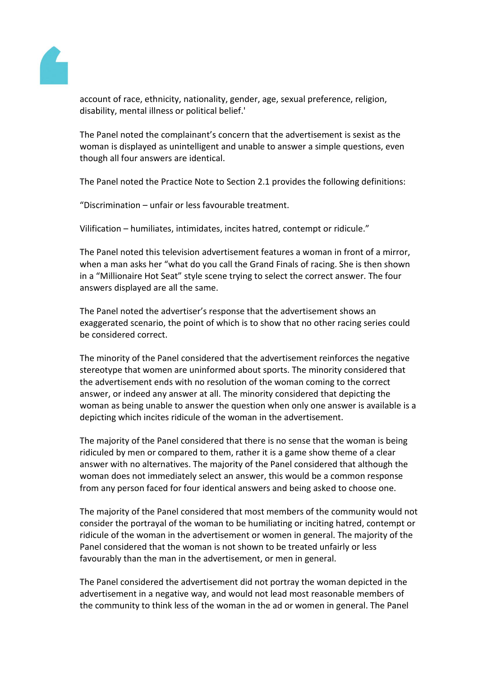

account of race, ethnicity, nationality, gender, age, sexual preference, religion, disability, mental illness or political belief.'

The Panel noted the complainant's concern that the advertisement is sexist as the woman is displayed as unintelligent and unable to answer a simple questions, even though all four answers are identical.

The Panel noted the Practice Note to Section 2.1 provides the following definitions:

"Discrimination – unfair or less favourable treatment.

Vilification – humiliates, intimidates, incites hatred, contempt or ridicule."

The Panel noted this television advertisement features a woman in front of a mirror, when a man asks her "what do you call the Grand Finals of racing. She is then shown in a "Millionaire Hot Seat" style scene trying to select the correct answer. The four answers displayed are all the same.

The Panel noted the advertiser's response that the advertisement shows an exaggerated scenario, the point of which is to show that no other racing series could be considered correct.

The minority of the Panel considered that the advertisement reinforces the negative stereotype that women are uninformed about sports. The minority considered that the advertisement ends with no resolution of the woman coming to the correct answer, or indeed any answer at all. The minority considered that depicting the woman as being unable to answer the question when only one answer is available is a depicting which incites ridicule of the woman in the advertisement.

The majority of the Panel considered that there is no sense that the woman is being ridiculed by men or compared to them, rather it is a game show theme of a clear answer with no alternatives. The majority of the Panel considered that although the woman does not immediately select an answer, this would be a common response from any person faced for four identical answers and being asked to choose one.

The majority of the Panel considered that most members of the community would not consider the portrayal of the woman to be humiliating or inciting hatred, contempt or ridicule of the woman in the advertisement or women in general. The majority of the Panel considered that the woman is not shown to be treated unfairly or less favourably than the man in the advertisement, or men in general.

The Panel considered the advertisement did not portray the woman depicted in the advertisement in a negative way, and would not lead most reasonable members of the community to think less of the woman in the ad or women in general. The Panel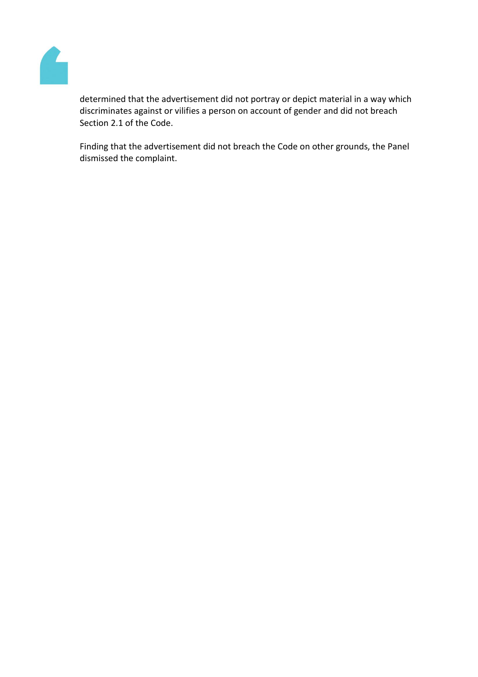

determined that the advertisement did not portray or depict material in a way which discriminates against or vilifies a person on account of gender and did not breach Section 2.1 of the Code.

Finding that the advertisement did not breach the Code on other grounds, the Panel dismissed the complaint.